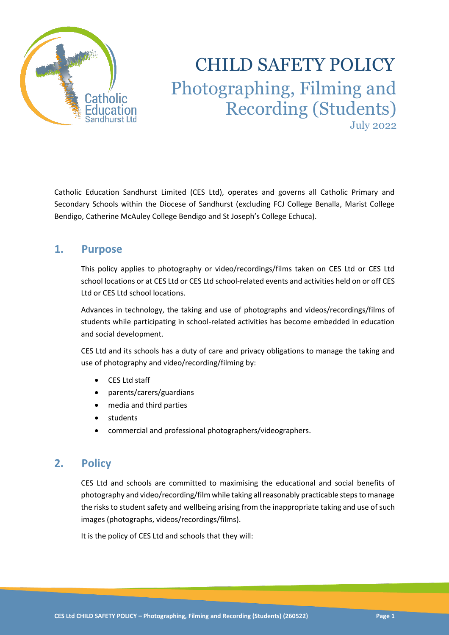

# CHILD SAFETY POLICY Photographing, Filming and Recording (Students) July 2022

Catholic Education Sandhurst Limited (CES Ltd), operates and governs all Catholic Primary and Secondary Schools within the Diocese of Sandhurst (excluding FCJ College Benalla, Marist College Bendigo, Catherine McAuley College Bendigo and St Joseph's College Echuca).

# **1. Purpose**

This policy applies to photography or video/recordings/films taken on CES Ltd or CES Ltd school locations or at CES Ltd or CES Ltd school-related events and activities held on or off CES Ltd or CES Ltd school locations.

Advances in technology, the taking and use of photographs and videos/recordings/films of students while participating in school-related activities has become embedded in education and social development.

CES Ltd and its schools has a duty of care and privacy obligations to manage the taking and use of photography and video/recording/filming by:

- CES Ltd staff
- parents/carers/guardians
- media and third parties
- **students**
- commercial and professional photographers/videographers.

# **2. Policy**

CES Ltd and schools are committed to maximising the educational and social benefits of photography and video/recording/film while taking all reasonably practicable steps to manage the risks to student safety and wellbeing arising from the inappropriate taking and use of such images (photographs, videos/recordings/films).

It is the policy of CES Ltd and schools that they will: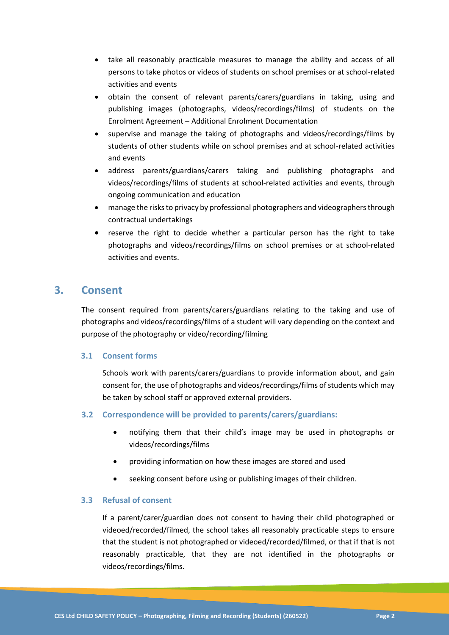- take all reasonably practicable measures to manage the ability and access of all persons to take photos or videos of students on school premises or at school-related activities and events
- obtain the consent of relevant parents/carers/guardians in taking, using and publishing images (photographs, videos/recordings/films) of students on the Enrolment Agreement – Additional Enrolment Documentation
- supervise and manage the taking of photographs and videos/recordings/films by students of other students while on school premises and at school-related activities and events
- address parents/guardians/carers taking and publishing photographs and videos/recordings/films of students at school-related activities and events, through ongoing communication and education
- manage the risks to privacy by professional photographers and videographers through contractual undertakings
- reserve the right to decide whether a particular person has the right to take photographs and videos/recordings/films on school premises or at school-related activities and events.

# **3. Consent**

The consent required from parents/carers/guardians relating to the taking and use of photographs and videos/recordings/films of a student will vary depending on the context and purpose of the photography or video/recording/filming

## **3.1 Consent forms**

Schools work with parents/carers/guardians to provide information about, and gain consent for, the use of photographs and videos/recordings/films of students which may be taken by school staff or approved external providers.

## **3.2 Correspondence will be provided to parents/carers/guardians:**

- notifying them that their child's image may be used in photographs or videos/recordings/films
- providing information on how these images are stored and used
- seeking consent before using or publishing images of their children.

## **3.3 Refusal of consent**

If a parent/carer/guardian does not consent to having their child photographed or videoed/recorded/filmed, the school takes all reasonably practicable steps to ensure that the student is not photographed or videoed/recorded/filmed, or that if that is not reasonably practicable, that they are not identified in the photographs or videos/recordings/films.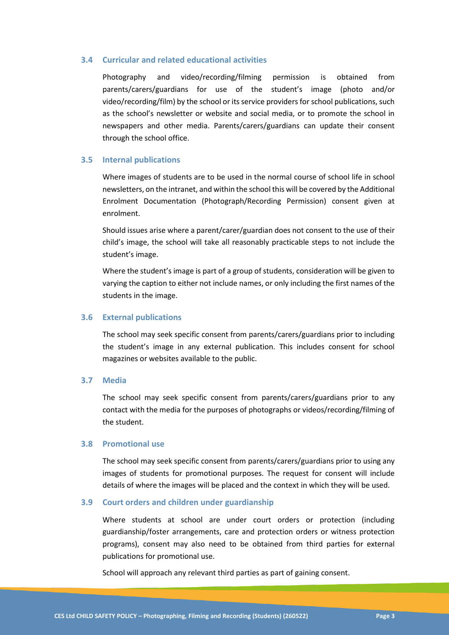#### **3.4 Curricular and related educational activities**

Photography and video/recording/filming permission is obtained from parents/carers/guardians for use of the student's image (photo and/or video/recording/film) by the school or its service providers for school publications, such as the school's newsletter or website and social media, or to promote the school in newspapers and other media. Parents/carers/guardians can update their consent through the school office.

#### **3.5 Internal publications**

Where images of students are to be used in the normal course of school life in school newsletters, on the intranet, and within the school this will be covered by the Additional Enrolment Documentation (Photograph/Recording Permission) consent given at enrolment.

Should issues arise where a parent/carer/guardian does not consent to the use of their child's image, the school will take all reasonably practicable steps to not include the student's image.

Where the student's image is part of a group of students, consideration will be given to varying the caption to either not include names, or only including the first names of the students in the image.

#### **3.6 External publications**

The school may seek specific consent from parents/carers/guardians prior to including the student's image in any external publication. This includes consent for school magazines or websites available to the public.

#### **3.7 Media**

The school may seek specific consent from parents/carers/guardians prior to any contact with the media for the purposes of photographs or videos/recording/filming of the student.

#### **3.8 Promotional use**

The school may seek specific consent from parents/carers/guardians prior to using any images of students for promotional purposes. The request for consent will include details of where the images will be placed and the context in which they will be used.

#### **3.9 Court orders and children under guardianship**

Where students at school are under court orders or protection (including guardianship/foster arrangements, care and protection orders or witness protection programs), consent may also need to be obtained from third parties for external publications for promotional use.

School will approach any relevant third parties as part of gaining consent.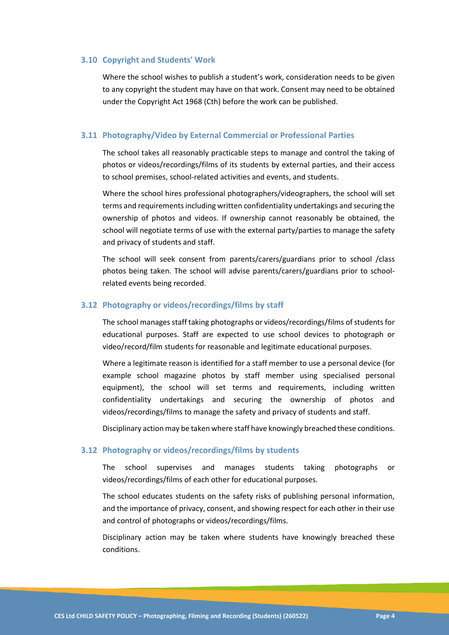#### **3.10 Copyright and Students' Work**

Where the school wishes to publish a student's work, consideration needs to be given to any copyright the student may have on that work. Consent may need to be obtained under the Copyright Act 1968 (Cth) before the work can be published.

#### **3.11 Photography/Video by External Commercial or Professional Parties**

The school takes all reasonably practicable steps to manage and control the taking of photos or videos/recordings/films of its students by external parties, and their access to school premises, school-related activities and events, and students.

Where the school hires professional photographers/videographers, the school will set terms and requirements including written confidentiality undertakings and securing the ownership of photos and videos. If ownership cannot reasonably be obtained, the school will negotiate terms of use with the external party/parties to manage the safety and privacy of students and staff.

The school will seek consent from parents/carers/guardians prior to school /class photos being taken. The school will advise parents/carers/guardians prior to schoolrelated events being recorded.

#### **3.12 Photography or videos/recordings/films by staff**

The school manages staff taking photographs or videos/recordings/films of students for educational purposes. Staff are expected to use school devices to photograph or video/record/film students for reasonable and legitimate educational purposes.

Where a legitimate reason is identified for a staff member to use a personal device (for example school magazine photos by staff member using specialised personal equipment), the school will set terms and requirements, including written confidentiality undertakings and securing the ownership of photos and videos/recordings/films to manage the safety and privacy of students and staff.

Disciplinary action may be taken where staff have knowingly breached these conditions.

### **3.12 Photography or videos/recordings/films by students**

The school supervises and manages students taking photographs or videos/recordings/films of each other for educational purposes.

The school educates students on the safety risks of publishing personal information, and the importance of privacy, consent, and showing respect for each other in their use and control of photographs or videos/recordings/films.

Disciplinary action may be taken where students have knowingly breached these conditions.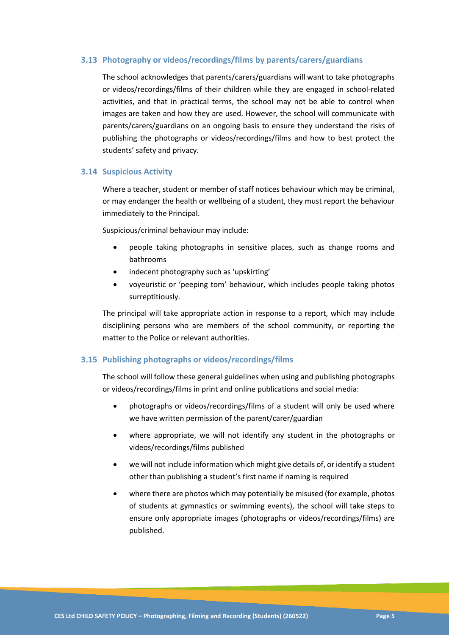## **3.13 Photography or videos/recordings/films by parents/carers/guardians**

The school acknowledges that parents/carers/guardians will want to take photographs or videos/recordings/films of their children while they are engaged in school-related activities, and that in practical terms, the school may not be able to control when images are taken and how they are used. However, the school will communicate with parents/carers/guardians on an ongoing basis to ensure they understand the risks of publishing the photographs or videos/recordings/films and how to best protect the students' safety and privacy.

#### **3.14 Suspicious Activity**

Where a teacher, student or member of staff notices behaviour which may be criminal, or may endanger the health or wellbeing of a student, they must report the behaviour immediately to the Principal.

Suspicious/criminal behaviour may include:

- people taking photographs in sensitive places, such as change rooms and bathrooms
- indecent photography such as 'upskirting'
- voyeuristic or 'peeping tom' behaviour, which includes people taking photos surreptitiously.

The principal will take appropriate action in response to a report, which may include disciplining persons who are members of the school community, or reporting the matter to the Police or relevant authorities.

#### **3.15 Publishing photographs or videos/recordings/films**

The school will follow these general guidelines when using and publishing photographs or videos/recordings/films in print and online publications and social media:

- photographs or videos/recordings/films of a student will only be used where we have written permission of the parent/carer/guardian
- where appropriate, we will not identify any student in the photographs or videos/recordings/films published
- we will not include information which might give details of, or identify a student other than publishing a student's first name if naming is required
- where there are photos which may potentially be misused (for example, photos of students at gymnastics or swimming events), the school will take steps to ensure only appropriate images (photographs or videos/recordings/films) are published.